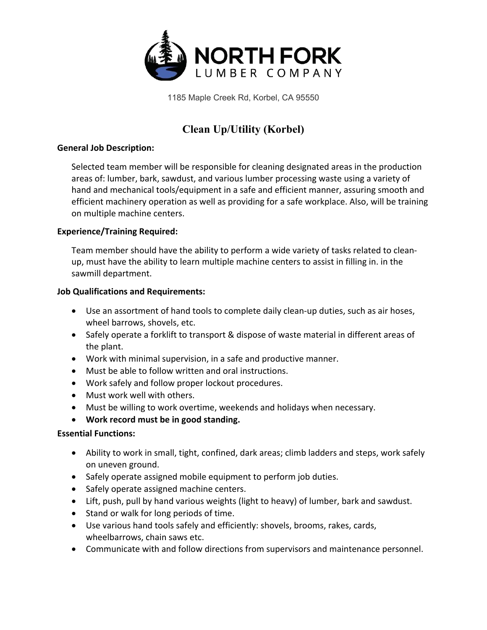

1185 Maple Creek Rd, Korbel, CA 95550

# **Clean Up/Utility (Korbel)**

### **General Job Description:**

Selected team member will be responsible for cleaning designated areas in the production areas of: lumber, bark, sawdust, and various lumber processing waste using a variety of hand and mechanical tools/equipment in a safe and efficient manner, assuring smooth and efficient machinery operation as well as providing for a safe workplace. Also, will be training on multiple machine centers.

### **Experience/Training Required:**

Team member should have the ability to perform a wide variety of tasks related to cleanup, must have the ability to learn multiple machine centers to assist in filling in. in the sawmill department.

#### **Job Qualifications and Requirements:**

- Use an assortment of hand tools to complete daily clean-up duties, such as air hoses, wheel barrows, shovels, etc.
- Safely operate a forklift to transport & dispose of waste material in different areas of the plant.
- Work with minimal supervision, in a safe and productive manner.
- Must be able to follow written and oral instructions.
- Work safely and follow proper lockout procedures.
- Must work well with others.
- Must be willing to work overtime, weekends and holidays when necessary.
- **Work record must be in good standing.**

## **Essential Functions:**

- Ability to work in small, tight, confined, dark areas; climb ladders and steps, work safely on uneven ground.
- Safely operate assigned mobile equipment to perform job duties.
- Safely operate assigned machine centers.
- Lift, push, pull by hand various weights (light to heavy) of lumber, bark and sawdust.
- Stand or walk for long periods of time.
- Use various hand tools safely and efficiently: shovels, brooms, rakes, cards, wheelbarrows, chain saws etc.
- Communicate with and follow directions from supervisors and maintenance personnel.